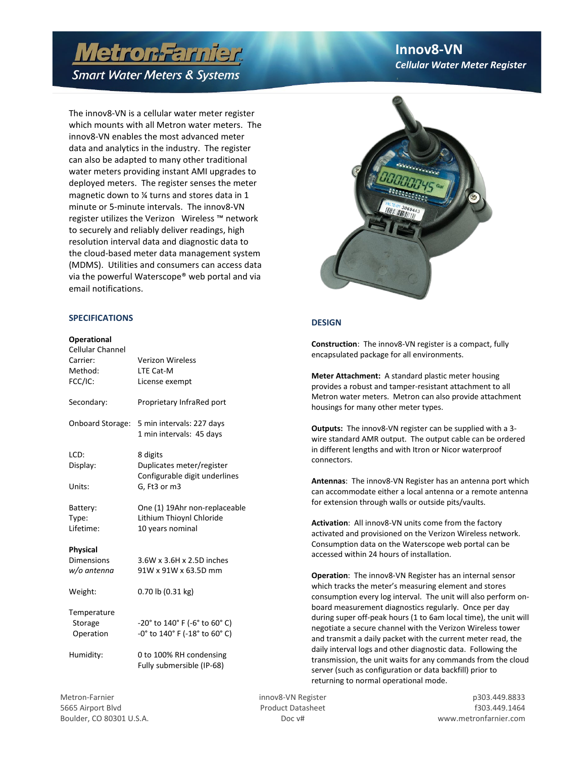# **Metron Farnier**

## **Smart Water Meters & Systems**

The imovo-viv is a centrial water meter register<br>which mounts with all Metron water meters. The The innov8-VN is a cellular water meter register innov8-VN enables the most advanced meter data and analytics in the industry. The register can also be adapted to many other traditional water meters providing instant AMI upgrades to deployed meters. The register senses the meter magnetic down to ¼ turns and stores data in 1 minute or 5-minute intervals. The innov8-VN register utilizes the Verizon Wireless ™ network to securely and reliably deliver readings, high resolution interval data and diagnostic data to the cloud-based meter data management system (MDMS). Utilities and consumers can access data via the powerful Waterscope® web portal and via email notifications.

### **SPECIFICATIONS**

#### **Operational**

| Cellular Channel<br>Carrier:<br>Method:<br>FCC/IC:  | <b>Verizon Wireless</b><br>LTE Cat-M<br>License exempt                                 |
|-----------------------------------------------------|----------------------------------------------------------------------------------------|
| Secondary:                                          | Proprietary InfraRed port                                                              |
| <b>Onboard Storage:</b>                             | 5 min intervals: 227 days<br>1 min intervals: 45 days                                  |
| LCD:<br>Display:<br>Units:                          | 8 digits<br>Duplicates meter/register<br>Configurable digit underlines<br>G, Ft3 or m3 |
| Battery:<br>Type:<br>Lifetime:                      | One (1) 19Ahr non-replaceable<br>Lithium Thioynl Chloride<br>10 years nominal          |
| <b>Physical</b><br><b>Dimensions</b><br>w/o antenna | 3.6W x 3.6H x 2.5D inches<br>91W x 91W x 63.5D mm                                      |
| Weight:                                             | 0.70 lb (0.31 kg)                                                                      |
| Temperature<br>Storage<br>Operation                 | -20° to 140° F (-6° to 60° C)<br>-0° to 140° F (-18° to 60° C)                         |
| Humidity:                                           | 0 to 100% RH condensing<br>Fully submersible (IP-68)                                   |

### **Innov8-VN** *Cellular Water Meter Register*



### **DESIGN**

**Construction**: The innov8-VN register is a compact, fully encapsulated package for all environments.

**Meter Attachment:** A standard plastic meter housing provides a robust and tamper-resistant attachment to all Metron water meters. Metron can also provide attachment housings for many other meter types.

**Outputs:** The innov8-VN register can be supplied with a 3 wire standard AMR output. The output cable can be ordered in different lengths and with Itron or Nicor waterproof connectors.

**Antennas**: The innov8-VN Register has an antenna port which can accommodate either a local antenna or a remote antenna for extension through walls or outside pits/vaults.

**Activation**: All innov8-VN units come from the factory activated and provisioned on the Verizon Wireless network. Consumption data on the Waterscope web portal can be accessed within 24 hours of installation.

**Operation**: The innov8-VN Register has an internal sensor which tracks the meter's measuring element and stores consumption every log interval. The unit will also perform onboard measurement diagnostics regularly. Once per day during super off-peak hours (1 to 6am local time), the unit will negotiate a secure channel with the Verizon Wireless tower and transmit a daily packet with the current meter read, the daily interval logs and other diagnostic data. Following the transmission, the unit waits for any commands from the cloud server (such as configuration or data backfill) prior to returning to normal operational mode.

5665 Airport Blvd Product Datasheet f303.449.1464 Boulder, CO 80301 U.S.A. Doc v# www.metronfarnier.com

Metron-Farnier innov8-VN Register innov8-VN Register innov8-VN Register innov8-VN Register innov8-VN Register innov8-VN Register innov8-VN Register innov8-VN Register innov8-VN Register innov8-VN Register innov8-VN Registe